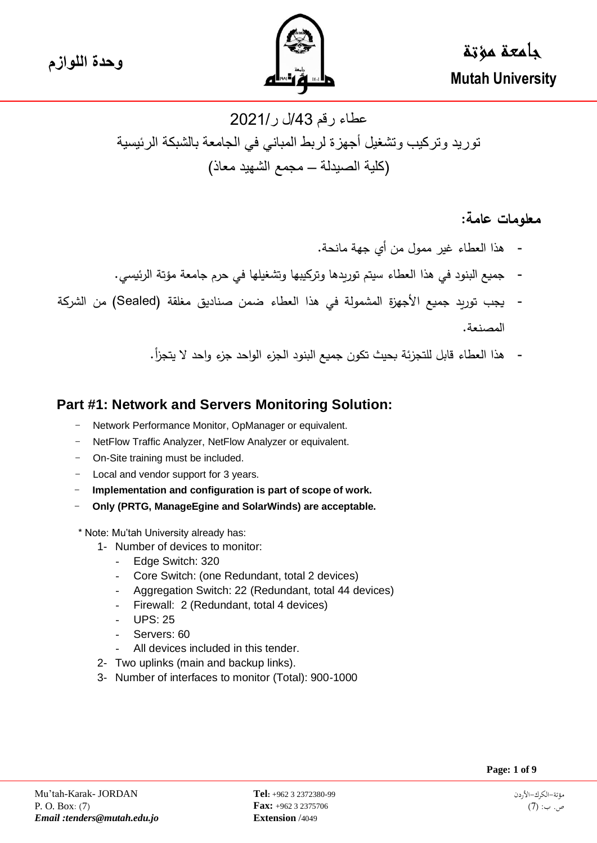

**وحدة اللوازم** جامعة مؤتة  **Mutah University**

# عطاء رقم /43ل ر2021/ توريد وتركيب وتشغيل أجهزة لربط المباني في الجامعة بالشبكة الرئيسية )كلية الصيدلة – مجمع الشهيد معاذ(

# **معلومات عامة:**

- هذا العطاء غير ممول من أي جهة مانحة.
- جميع البنود في هذا العطاء سيتم توريدها وتركيبها وتشغيلها في حرم جامعة مؤتة الرئيسي.
- يجب توريد جميع األجهزة المشمولة في هذا العطاء ضمن صناديق مغلقة ) Sealed )من الشركة المصنعة.
	- هذا العطاء قابل للتجزئة بحيث تكون جميع البنود الجزء الواحد جزء واحد ال يتجزأ.

## **Part #1: Network and Servers Monitoring Solution:**

- Network Performance Monitor, OpManager or equivalent.
- NetFlow Traffic Analyzer, NetFlow Analyzer or equivalent.
- On-Site training must be included.
- Local and vendor support for 3 years.
- **Implementation and configuration is part of scope of work.**
- **Only (PRTG, ManageEgine and SolarWinds) are acceptable.**

\* Note: Mu'tah University already has:

- 1- Number of devices to monitor:
	- Edge Switch: 320
	- Core Switch: (one Redundant, total 2 devices)
	- Aggregation Switch: 22 (Redundant, total 44 devices)
	- Firewall: 2 (Redundant, total 4 devices)
	- UPS: 25
	- Servers: 60
	- All devices included in this tender.
- 2- Two uplinks (main and backup links).
- 3- Number of interfaces to monitor (Total): 900-1000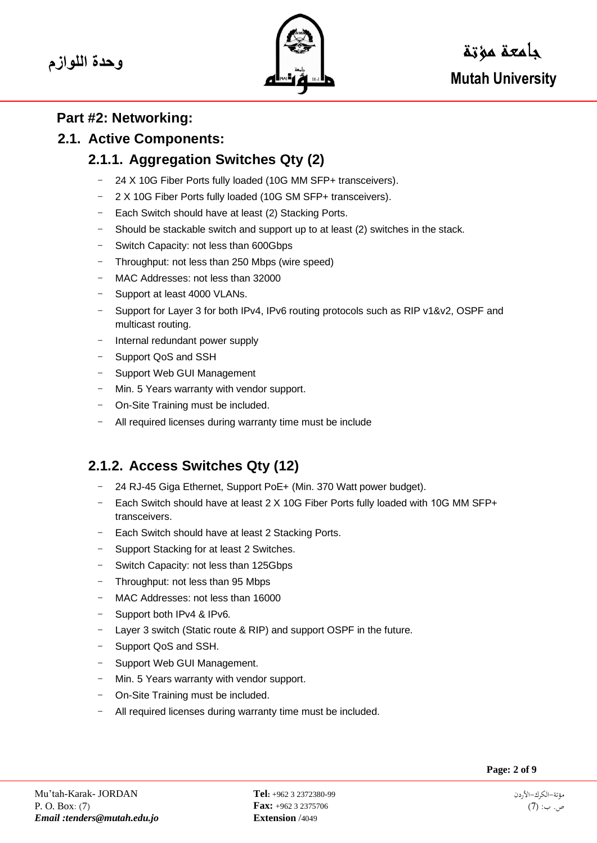

# **Part #2: Networking:**

### **2.1. Active Components:**

# **2.1.1. Aggregation Switches Qty (2)**

- 24 X 10G Fiber Ports fully loaded (10G MM SFP+ transceivers).
- 2 X 10G Fiber Ports fully loaded (10G SM SFP+ transceivers).
- Each Switch should have at least (2) Stacking Ports.
- Should be stackable switch and support up to at least (2) switches in the stack.
- Switch Capacity: not less than 600Gbps
- Throughput: not less than 250 Mbps (wire speed)
- MAC Addresses: not less than 32000
- Support at least 4000 VLANs.
- Support for Layer 3 for both IPv4, IPv6 routing protocols such as RIP v1&v2, OSPF and multicast routing.
- Internal redundant power supply
- Support QoS and SSH
- Support Web GUI Management
- Min. 5 Years warranty with vendor support.
- On-Site Training must be included.
- All required licenses during warranty time must be include

# **2.1.2. Access Switches Qty (12)**

- 24 RJ-45 Giga Ethernet, Support PoE+ (Min. 370 Watt power budget).
- Each Switch should have at least 2 X 10G Fiber Ports fully loaded with 10G MM SFP+ transceivers.
- Each Switch should have at least 2 Stacking Ports.
- Support Stacking for at least 2 Switches.
- Switch Capacity: not less than 125Gbps
- Throughput: not less than 95 Mbps
- MAC Addresses: not less than 16000
- Support both IPv4 & IPv6.
- Layer 3 switch (Static route & RIP) and support OSPF in the future.
- Support QoS and SSH.
- Support Web GUI Management.
- Min. 5 Years warranty with vendor support.
- On-Site Training must be included.
- All required licenses during warranty time must be included.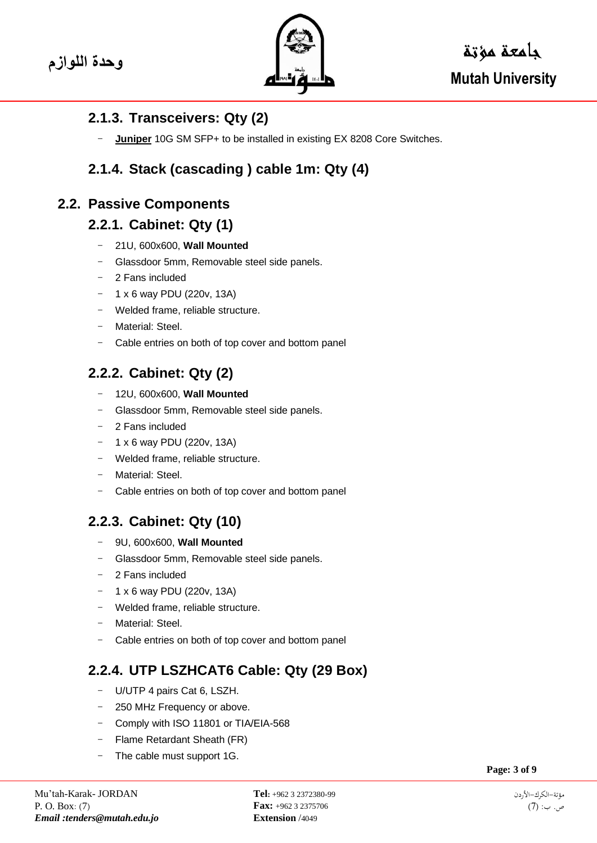

## **2.1.3. Transceivers: Qty (2)**

**Juniper** 10G SM SFP+ to be installed in existing EX 8208 Core Switches.

# **2.1.4. Stack (cascading ) cable 1m: Qty (4)**

## **2.2. Passive Components**

### **2.2.1. Cabinet: Qty (1)**

- 21U, 600x600, **Wall Mounted**
- Glassdoor 5mm, Removable steel side panels.
- 2 Fans included
- $1 x 6$  way PDU (220v, 13A)
- Welded frame, reliable structure.
- Material: Steel
- Cable entries on both of top cover and bottom panel

# **2.2.2. Cabinet: Qty (2)**

- 12U, 600x600, **Wall Mounted**
- Glassdoor 5mm, Removable steel side panels.
- 2 Fans included
- 1 x 6 way PDU (220v, 13A)
- Welded frame, reliable structure.
- Material: Steel.
- Cable entries on both of top cover and bottom panel

# **2.2.3. Cabinet: Qty (10)**

- 9U, 600x600, **Wall Mounted**
- Glassdoor 5mm, Removable steel side panels.
- 2 Fans included
- 1 x 6 way PDU (220v, 13A)
- Welded frame, reliable structure.
- Material: Steel.
- Cable entries on both of top cover and bottom panel

# **2.2.4. UTP LSZHCAT6 Cable: Qty (29 Box)**

- U/UTP 4 pairs Cat 6, LSZH.
- 250 MHz Frequency or above.
- Comply with ISO 11801 or TIA/EIA-568
- Flame Retardant Sheath (FR)
- The cable must support 1G.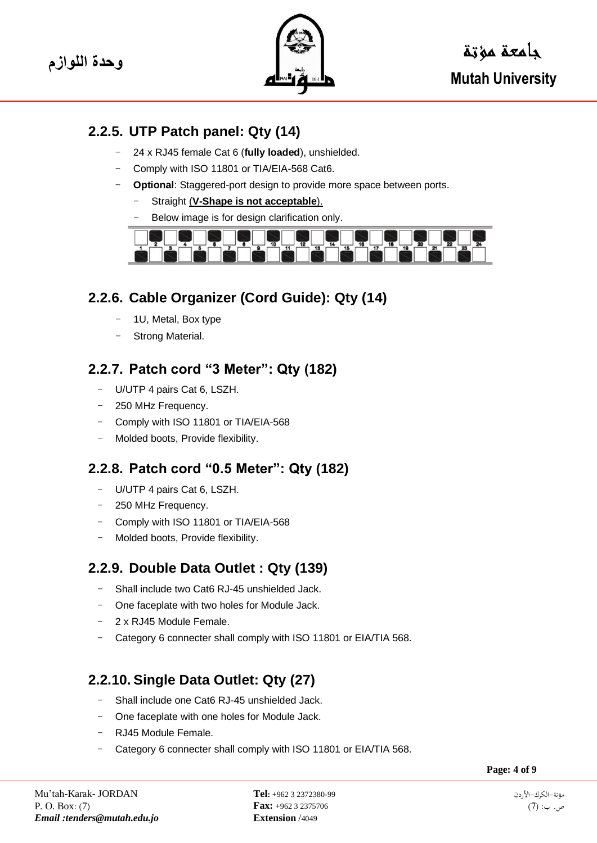

# **2.2.5. UTP Patch panel: Qty (14)**

- 24 x RJ45 female Cat 6 (**fully loaded**), unshielded.
- Comply with ISO 11801 or TIA/EIA-568 Cat6.
- **Optional:** Staggered-port design to provide more space between ports.
	- Straight (V-Shape is not acceptable).
	- Below image is for design clarification only.



# **2.2.6. Cable Organizer (Cord Guide): Qty (14)**

- 1U, Metal, Box type
- Strong Material.

# **2.2.7. Patch cord "3 Meter": Qty (182)**

- U/UTP 4 pairs Cat 6, LSZH.
- 250 MHz Frequency.
- Comply with ISO 11801 or TIA/EIA-568
- Molded boots, Provide flexibility.

# **2.2.8. Patch cord "0.5 Meter": Qty (182)**

- U/UTP 4 pairs Cat 6, LSZH.
- 250 MHz Frequency.
- Comply with ISO 11801 or TIA/EIA-568
- Molded boots, Provide flexibility.

# **2.2.9. Double Data Outlet : Qty (139)**

- Shall include two Cat6 RJ-45 unshielded Jack.
- One faceplate with two holes for Module Jack.
- 2 x RJ45 Module Female.
- Category 6 connecter shall comply with ISO 11801 or EIA/TIA 568.

# **2.2.10. Single Data Outlet: Qty (27)**

- Shall include one Cat6 RJ-45 unshielded Jack.
- One faceplate with one holes for Module Jack.
- RJ45 Module Female.
- Category 6 connecter shall comply with ISO 11801 or EIA/TIA 568.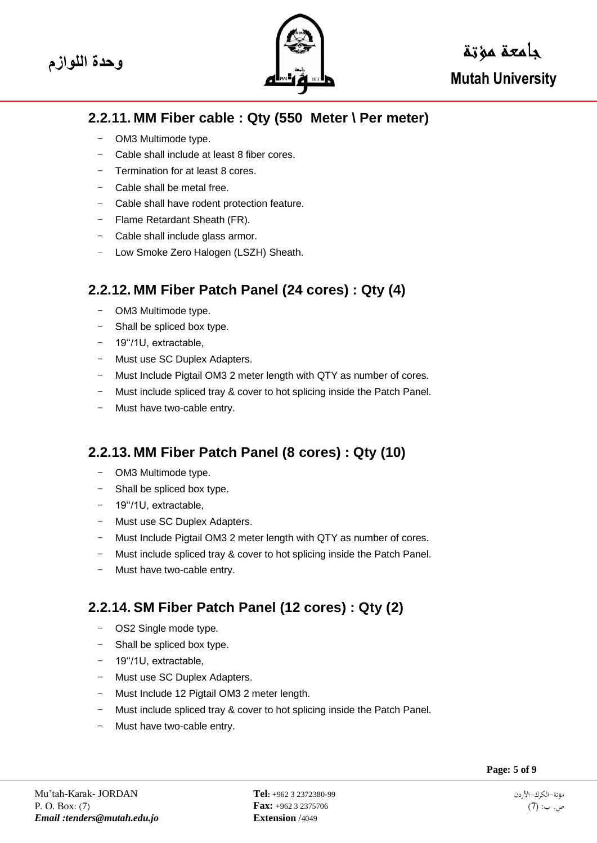

# **وحدة اللوازم** جامعة مؤتة  **Mutah University**

# **2.2.11. MM Fiber cable : Qty (550 Meter \ Per meter)**

- OM3 Multimode type.
- Cable shall include at least 8 fiber cores.
- Termination for at least 8 cores.
- Cable shall be metal free.
- Cable shall have rodent protection feature.
- Flame Retardant Sheath (FR).
- Cable shall include glass armor.
- Low Smoke Zero Halogen (LSZH) Sheath.

# **2.2.12. MM Fiber Patch Panel (24 cores) : Qty (4)**

- OM3 Multimode type.
- Shall be spliced box type.
- 19''/1U, extractable,
- Must use SC Duplex Adapters.
- Must Include Pigtail OM3 2 meter length with QTY as number of cores.
- Must include spliced tray & cover to hot splicing inside the Patch Panel.
- Must have two-cable entry.

# **2.2.13. MM Fiber Patch Panel (8 cores) : Qty (10)**

- OM3 Multimode type.
- Shall be spliced box type.
- 19''/1U, extractable,
- Must use SC Duplex Adapters.
- Must Include Pigtail OM3 2 meter length with QTY as number of cores.
- Must include spliced tray & cover to hot splicing inside the Patch Panel.
- Must have two-cable entry.

# **2.2.14. SM Fiber Patch Panel (12 cores) : Qty (2)**

- OS2 Single mode type.
- Shall be spliced box type.
- 19''/1U, extractable,
- Must use SC Duplex Adapters.
- Must Include 12 Pigtail OM3 2 meter length.
- Must include spliced tray & cover to hot splicing inside the Patch Panel.
- Must have two-cable entry.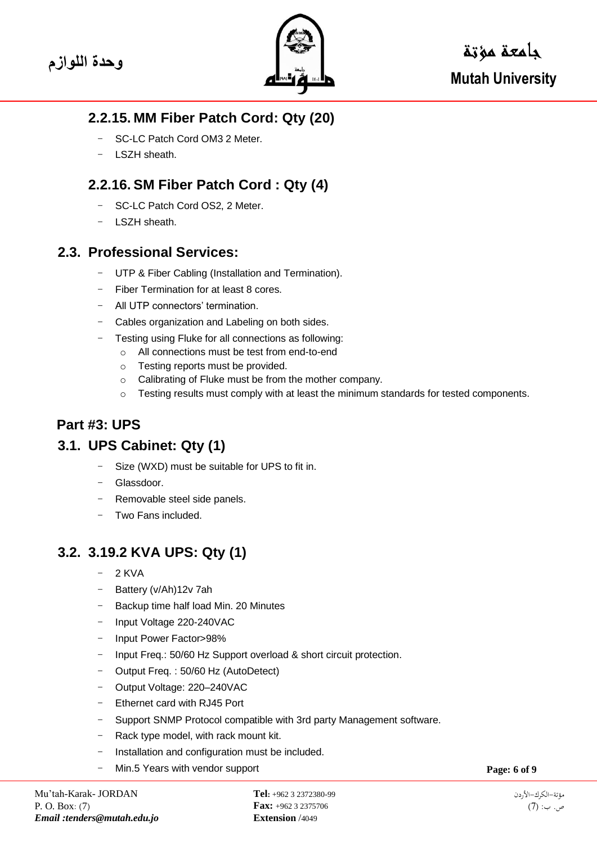

## **2.2.15. MM Fiber Patch Cord: Qty (20)**

- SC-LC Patch Cord OM3 2 Meter.
- LSZH sheath.

## **2.2.16. SM Fiber Patch Cord : Qty (4)**

- SC-LC Patch Cord OS2, 2 Meter.
- LSZH sheath.

### **2.3. Professional Services:**

- UTP & Fiber Cabling (Installation and Termination).
- Fiber Termination for at least 8 cores.
- All UTP connectors' termination.
- Cables organization and Labeling on both sides.
- Testing using Fluke for all connections as following:
	- o All connections must be test from end-to-end
	- o Testing reports must be provided.
	- o Calibrating of Fluke must be from the mother company.
	- $\circ$  Testing results must comply with at least the minimum standards for tested components.

## **Part #3: UPS**

#### **3.1. UPS Cabinet: Qty (1)**

- Size (WXD) must be suitable for UPS to fit in.
- Glassdoor.
- Removable steel side panels.
- Two Fans included

## **3.2. 3.19.2 KVA UPS: Qty (1)**

- $-2$  KVA
- Battery (y/Ah)12y 7ah
- Backup time half load Min. 20 Minutes
- Input Voltage 220-240VAC
- Input Power Factor>98%
- Input Freq.: 50/60 Hz Support overload & short circuit protection.
- Output Freq. : 50/60 Hz (AutoDetect)
- Output Voltage: 220–240VAC
- Ethernet card with RJ45 Port
- Support SNMP Protocol compatible with 3rd party Management software.
- Rack type model, with rack mount kit.
- Installation and configuration must be included.
- Min.5 Years with vendor support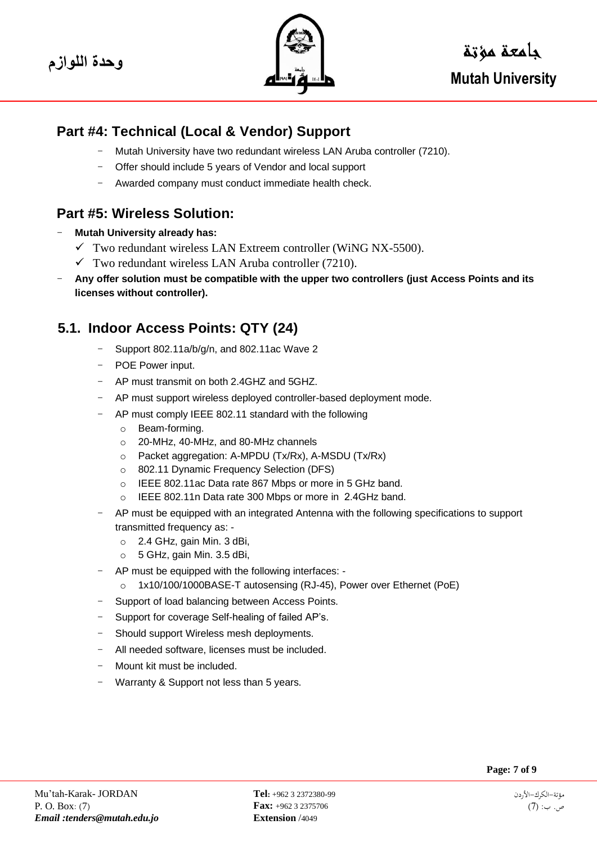

## **Part #4: Technical (Local & Vendor) Support**

- Mutah University have two redundant wireless LAN Aruba controller (7210).
- Offer should include 5 years of Vendor and local support
- Awarded company must conduct immediate health check.

### **Part #5: Wireless Solution:**

- **Mutah University already has:**
	- $\checkmark$  Two redundant wireless LAN Extreem controller (WiNG NX-5500).
	- $\checkmark$  Two redundant wireless LAN Aruba controller (7210).
- **Any offer solution must be compatible with the upper two controllers (just Access Points and its licenses without controller).**

# **5.1. Indoor Access Points: QTY (24)**

- Support 802.11a/b/g/n, and 802.11ac Wave 2
- POE Power input.
- AP must transmit on both 2.4GHZ and 5GHZ.
- AP must support wireless deployed controller-based deployment mode.
- AP must comply IEEE 802.11 standard with the following
	- o Beam-forming.
	- o 20-MHz, 40-MHz, and 80-MHz channels
	- o Packet aggregation: A-MPDU (Tx/Rx), A-MSDU (Tx/Rx)
	- o 802.11 Dynamic Frequency Selection (DFS)
	- o IEEE 802.11ac Data rate 867 Mbps or more in 5 GHz band.
	- o IEEE 802.11n Data rate 300 Mbps or more in 2.4GHz band.
- AP must be equipped with an integrated Antenna with the following specifications to support transmitted frequency as:
	- o 2.4 GHz, gain Min. 3 dBi,
	- $\circ$  5 GHz, gain Min. 3.5 dBi,
- AP must be equipped with the following interfaces:
	- o 1x10/100/1000BASE-T autosensing (RJ-45), Power over Ethernet (PoE)
- Support of load balancing between Access Points.
- Support for coverage Self-healing of failed AP's.
- Should support Wireless mesh deployments.
- All needed software, licenses must be included.
- Mount kit must be included.
- Warranty & Support not less than 5 years.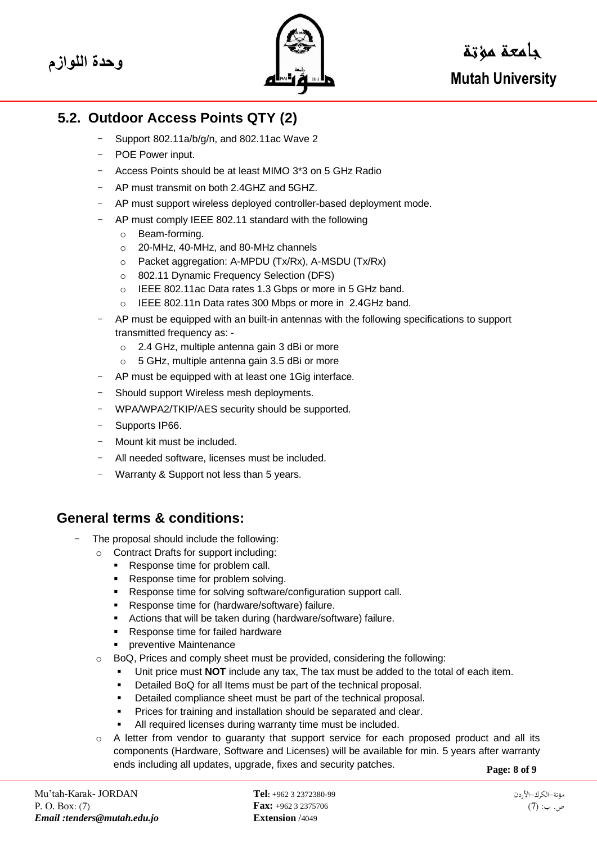

# **5.2. Outdoor Access Points QTY (2)**

- Support 802.11a/b/g/n, and 802.11ac Wave 2
- POE Power input.
- Access Points should be at least MIMO 3\*3 on 5 GHz Radio
- AP must transmit on both 2.4GHZ and 5GHZ.
- AP must support wireless deployed controller-based deployment mode.
- AP must comply IEEE 802.11 standard with the following
	- o Beam-forming.
	- o 20-MHz, 40-MHz, and 80-MHz channels
	- o Packet aggregation: A-MPDU (Tx/Rx), A-MSDU (Tx/Rx)
	- o 802.11 Dynamic Frequency Selection (DFS)
	- o IEEE 802.11ac Data rates 1.3 Gbps or more in 5 GHz band.
	- o IEEE 802.11n Data rates 300 Mbps or more in 2.4GHz band.
- AP must be equipped with an built-in antennas with the following specifications to support transmitted frequency as:
	- o 2.4 GHz, multiple antenna gain 3 dBi or more
	- o 5 GHz, multiple antenna gain 3.5 dBi or more
- AP must be equipped with at least one 1Gig interface.
- Should support Wireless mesh deployments.
- WPA/WPA2/TKIP/AES security should be supported.
- Supports IP66.
- Mount kit must be included.
- All needed software, licenses must be included.
- Warranty & Support not less than 5 years.

#### **General terms & conditions:**

- The proposal should include the following:
	- o Contract Drafts for support including:
		- Response time for problem call.
		- Response time for problem solving.
		- Response time for solving software/configuration support call.
		- Response time for (hardware/software) failure.
		- Actions that will be taken during (hardware/software) failure.
		- Response time for failed hardware
		- **•** preventive Maintenance
	- o BoQ, Prices and comply sheet must be provided, considering the following:
		- Unit price must **NOT** include any tax, The tax must be added to the total of each item.
		- Detailed BoQ for all Items must be part of the technical proposal.
		- Detailed compliance sheet must be part of the technical proposal.
		- Prices for training and installation should be separated and clear.
		- All required licenses during warranty time must be included.
	- $\circ$  A letter from vendor to guaranty that support service for each proposed product and all its components (Hardware, Software and Licenses) will be available for min. 5 years after warranty ends including all updates, upgrade, fixes and security patches.